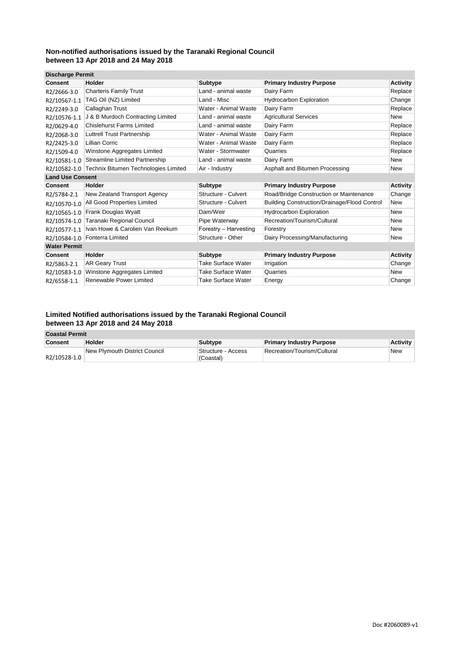| <b>Discharge Permit</b> |                                       |                       |                                                     |                 |
|-------------------------|---------------------------------------|-----------------------|-----------------------------------------------------|-----------------|
| Consent                 | Holder                                | <b>Subtype</b>        | <b>Primary Industry Purpose</b>                     | <b>Activity</b> |
| R2/2666-3.0             | <b>Charteris Family Trust</b>         | Land - animal waste   | Dairy Farm                                          | Replace         |
| R2/10567-1.1            | TAG Oil (NZ) Limited                  | Land - Misc           | <b>Hydrocarbon Exploration</b>                      | Change          |
| R2/2249-3.0             | Callaghan Trust                       | Water - Animal Waste  | Dairy Farm                                          | Replace         |
| R2/10576-1.1            | J & B Murdoch Contracting Limited     | Land - animal waste   | <b>Agricultural Services</b>                        | <b>New</b>      |
| R2/0629-4.0             | <b>Chislehurst Farms Limited</b>      | Land - animal waste   | Dairy Farm                                          | Replace         |
| R2/2068-3.0             | <b>Luttrell Trust Partnership</b>     | Water - Animal Waste  | Dairy Farm                                          | Replace         |
| R2/2425-3.0             | <b>Lillian Corric</b>                 | Water - Animal Waste  | Dairy Farm                                          | Replace         |
| R2/1509-4.0             | Winstone Aggregates Limited           | Water - Stormwater    | Quarries                                            | Replace         |
| R2/10581-1.0            | <b>Streamline Limited Partnership</b> | Land - animal waste   | Dairy Farm                                          | New             |
| R2/10582-1.0            | Technix Bitumen Technologies Limited  | Air - Industry        | Asphalt and Bitumen Processing                      | <b>New</b>      |
| <b>Land Use Consent</b> |                                       |                       |                                                     |                 |
| <b>Consent</b>          | Holder                                | <b>Subtype</b>        | <b>Primary Industry Purpose</b>                     | <b>Activity</b> |
| R2/5784-2.1             | New Zealand Transport Agency          | Structure - Culvert   | Road/Bridge Construction or Maintenance             | Change          |
| R2/10570-1.0            | All Good Properties Limited           | Structure - Culvert   | <b>Building Construction/Drainage/Flood Control</b> | New             |
| R2/10565-1.0            | Frank Douglas Wyatt                   | Dam/Weir              | <b>Hydrocarbon Exploration</b>                      | <b>New</b>      |
| R2/10574-1.0            | Taranaki Regional Council             | Pipe Waterway         | Recreation/Tourism/Cultural                         | New             |
| R2/10577-1.1            | Ivan Howe & Carolien Van Reekum       | Forestry - Harvesting | Forestry                                            | New             |
| R2/10584-1.0            | Fonterra Limited                      | Structure - Other     | Dairy Processing/Manufacturing                      | New             |
| <b>Water Permit</b>     |                                       |                       |                                                     |                 |
| <b>Consent</b>          | Holder                                | <b>Subtype</b>        | <b>Primary Industry Purpose</b>                     | <b>Activity</b> |
|                         |                                       |                       |                                                     |                 |
| R2/5863-2.1             | <b>AR Geary Trust</b>                 | Take Surface Water    | Irrigation                                          | Change          |
| R2/10583-1.0            | Winstone Aggregates Limited           | Take Surface Water    | Quarries                                            | New             |

#### **Limited Notified authorisations issued by the Taranaki Regional Council between 13 Apr 2018 and 24 May 2018**

| <b>Coastal Permit</b> |                               |                    |                                 |                 |
|-----------------------|-------------------------------|--------------------|---------------------------------|-----------------|
| <b>Consent</b>        | Holder                        | <b>Subtype</b>     | <b>Primary Industry Purpose</b> | <b>Activity</b> |
|                       | New Plymouth District Council | Structure - Access | Recreation/Tourism/Cultural     | <b>New</b>      |
| R2/10528-1.0          |                               | (Coastal)          |                                 |                 |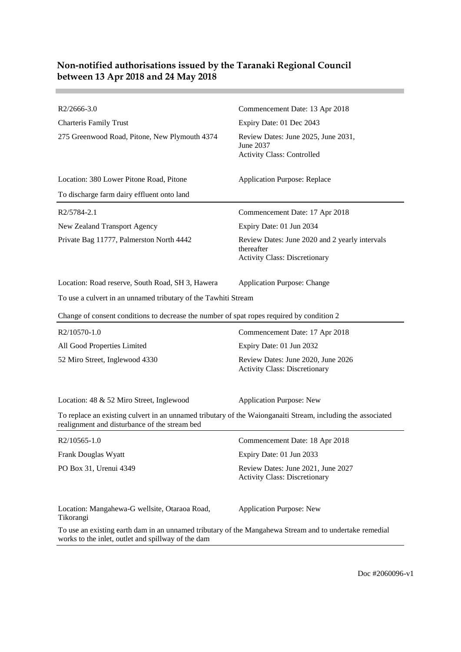\_\_\_\_\_\_

| R2/2666-3.0                                                                                                                                                  | Commencement Date: 13 Apr 2018                                                                       |
|--------------------------------------------------------------------------------------------------------------------------------------------------------------|------------------------------------------------------------------------------------------------------|
| <b>Charteris Family Trust</b>                                                                                                                                | Expiry Date: 01 Dec 2043                                                                             |
| 275 Greenwood Road, Pitone, New Plymouth 4374                                                                                                                | Review Dates: June 2025, June 2031,<br>June 2037<br><b>Activity Class: Controlled</b>                |
| Location: 380 Lower Pitone Road, Pitone                                                                                                                      | <b>Application Purpose: Replace</b>                                                                  |
| To discharge farm dairy effluent onto land                                                                                                                   |                                                                                                      |
| R2/5784-2.1                                                                                                                                                  | Commencement Date: 17 Apr 2018                                                                       |
| New Zealand Transport Agency                                                                                                                                 | Expiry Date: 01 Jun 2034                                                                             |
| Private Bag 11777, Palmerston North 4442                                                                                                                     | Review Dates: June 2020 and 2 yearly intervals<br>thereafter<br><b>Activity Class: Discretionary</b> |
| Location: Road reserve, South Road, SH 3, Hawera                                                                                                             | <b>Application Purpose: Change</b>                                                                   |
| To use a culvert in an unnamed tributary of the Tawhiti Stream                                                                                               |                                                                                                      |
| Change of consent conditions to decrease the number of spat ropes required by condition 2                                                                    |                                                                                                      |
| R2/10570-1.0                                                                                                                                                 | Commencement Date: 17 Apr 2018                                                                       |
| All Good Properties Limited                                                                                                                                  | Expiry Date: 01 Jun 2032                                                                             |
| 52 Miro Street, Inglewood 4330                                                                                                                               | Review Dates: June 2020, June 2026<br><b>Activity Class: Discretionary</b>                           |
| Location: 48 & 52 Miro Street, Inglewood                                                                                                                     | <b>Application Purpose: New</b>                                                                      |
| To replace an existing culvert in an unnamed tributary of the Waionganaiti Stream, including the associated<br>realignment and disturbance of the stream bed |                                                                                                      |
| R2/10565-1.0                                                                                                                                                 | Commencement Date: 18 Apr 2018                                                                       |
| Frank Douglas Wyatt                                                                                                                                          | Expiry Date: 01 Jun 2033                                                                             |
| PO Box 31, Urenui 4349                                                                                                                                       | Review Dates: June 2021, June 2027<br><b>Activity Class: Discretionary</b>                           |
| Location: Mangahewa-G wellsite, Otaraoa Road,<br>Tikorangi                                                                                                   | <b>Application Purpose: New</b>                                                                      |
| To use an existing earth dam in an unnamed tributary of the Mangahewa Stream and to undertake remedial<br>works to the inlet, outlet and spillway of the dam |                                                                                                      |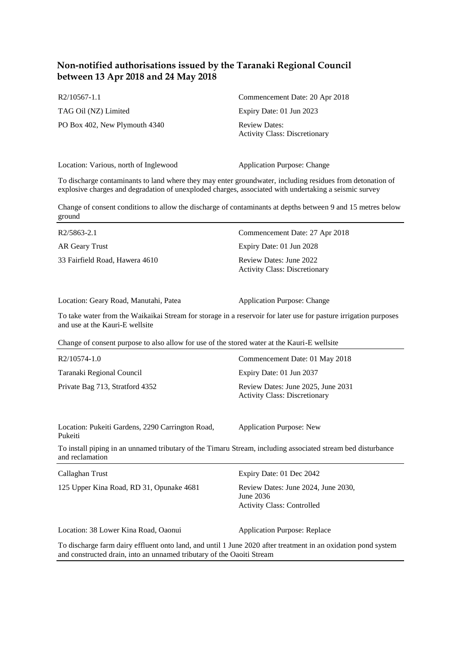[R2/10567-1.1](http://irisprod.trc.govt.nz/IRISObjectRouter.aspx?IRISObjectID=720984) Commencement Date: 20 Apr 2018 TAG Oil (NZ) Limited Expiry Date: 01 Jun 2023 PO Box 402, New Plymouth 4340 Review Dates: Activity Class: Discretionary

Location: Various, north of Inglewood Application Purpose: Change

To discharge contaminants to land where they may enter groundwater, including residues from detonation of explosive charges and degradation of unexploded charges, associated with undertaking a seismic survey

Change of consent conditions to allow the discharge of contaminants at depths between 9 and 15 metres below ground

| R2/5863-2.1                    | Commencement Date: 27 Apr 2018                                  |
|--------------------------------|-----------------------------------------------------------------|
| AR Geary Trust                 | Expiry Date: 01 Jun 2028                                        |
| 33 Fairfield Road, Hawera 4610 | Review Dates: June 2022<br><b>Activity Class: Discretionary</b> |

Location: Geary Road, Manutahi, Patea Application Purpose: Change

To take water from the Waikaikai Stream for storage in a reservoir for later use for pasture irrigation purposes and use at the Kauri-E wellsite

Change of consent purpose to also allow for use of the stored water at the Kauri-E wellsite

| R2/10574-1.0                    | Commencement Date: 01 May 2018                                             |
|---------------------------------|----------------------------------------------------------------------------|
| Taranaki Regional Council       | Expiry Date: 01 Jun 2037                                                   |
| Private Bag 713, Stratford 4352 | Review Dates: June 2025, June 2031<br><b>Activity Class: Discretionary</b> |

Location: Pukeiti Gardens, 2290 Carrington Road, Pukeiti

Application Purpose: New

To install piping in an unnamed tributary of the Timaru Stream, including associated stream bed disturbance and reclamation

| Callaghan Trust                                                       | Expiry Date: 01 Dec 2042                                                                                      |
|-----------------------------------------------------------------------|---------------------------------------------------------------------------------------------------------------|
| 125 Upper Kina Road, RD 31, Opunake 4681                              | Review Dates: June 2024, June 2030,<br>June $2036$<br><b>Activity Class: Controlled</b>                       |
| Location: 38 Lower Kina Road, Oaonui                                  | <b>Application Purpose: Replace</b>                                                                           |
| and constructed drain, into an unnamed tributary of the Oaoiti Stream | To discharge farm dairy effluent onto land, and until 1 June 2020 after treatment in an oxidation pond system |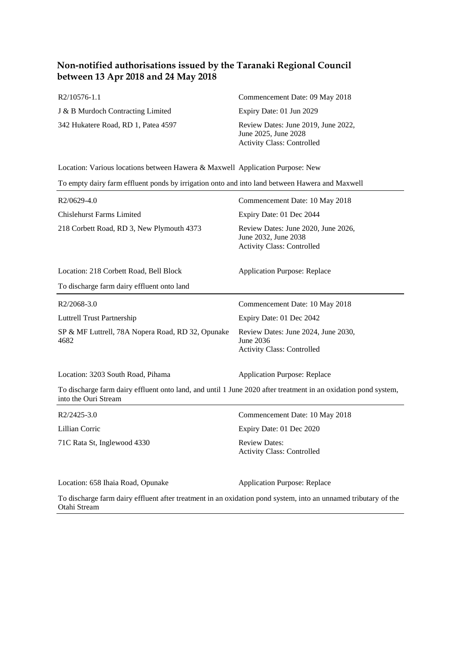| R2/10576-1.1                        | Commencement Date: 09 May 2018                                                                   |
|-------------------------------------|--------------------------------------------------------------------------------------------------|
| J & B Murdoch Contracting Limited   | Expiry Date: 01 Jun 2029                                                                         |
| 342 Hukatere Road, RD 1, Patea 4597 | Review Dates: June 2019, June 2022,<br>June 2025, June 2028<br><b>Activity Class: Controlled</b> |

Location: Various locations between Hawera & Maxwell Application Purpose: New

| To empty dairy farm effluent ponds by irrigation onto and into land between Hawera and Maxwell   |  |  |
|--------------------------------------------------------------------------------------------------|--|--|
| Commencement Date: 10 May 2018                                                                   |  |  |
| Expiry Date: 01 Dec 2044                                                                         |  |  |
| Review Dates: June 2020, June 2026,<br>June 2032, June 2038<br><b>Activity Class: Controlled</b> |  |  |
| <b>Application Purpose: Replace</b>                                                              |  |  |
|                                                                                                  |  |  |
| Commencement Date: 10 May 2018                                                                   |  |  |
| Expiry Date: 01 Dec 2042                                                                         |  |  |
| Review Dates: June 2024, June 2030,<br>June 2036<br><b>Activity Class: Controlled</b>            |  |  |
|                                                                                                  |  |  |

To discharge farm dairy effluent onto land, and until 1 June 2020 after treatment in an oxidation pond system, into the Ouri Stream

| R2/2425-3.0                 | Commencement Date: 10 May 2018                            |
|-----------------------------|-----------------------------------------------------------|
| Lillian Corric              | Expiry Date: 01 Dec 2020                                  |
| 71C Rata St, Inglewood 4330 | <b>Review Dates:</b><br><b>Activity Class: Controlled</b> |

Location: 3203 South Road, Pihama Application Purpose: Replace

Location: 658 Ihaia Road, Opunake Application Purpose: Replace

To discharge farm dairy effluent after treatment in an oxidation pond system, into an unnamed tributary of the Otahi Stream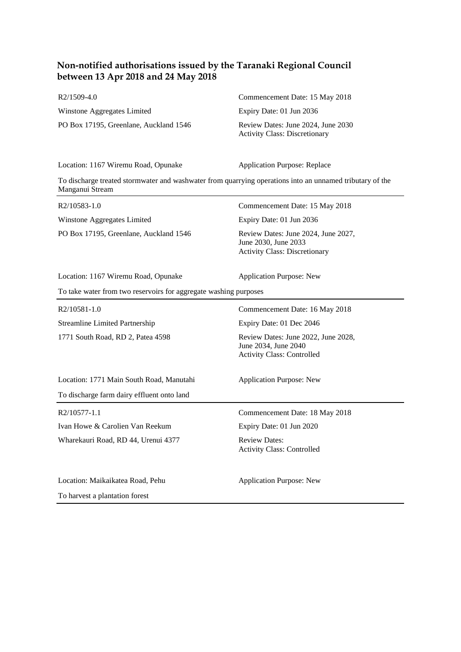| R2/1509-4.0                            | Commencement Date: 15 May 2018                                                                           |
|----------------------------------------|----------------------------------------------------------------------------------------------------------|
| Winstone Aggregates Limited            | Expiry Date: 01 Jun 2036                                                                                 |
| PO Box 17195, Greenlane, Auckland 1546 | Review Dates: June 2024, June 2030<br><b>Activity Class: Discretionary</b>                               |
| Location: 1167 Wiremu Road, Opunake    | <b>Application Purpose: Replace</b>                                                                      |
| Manganui Stream                        | To discharge treated stormwater and washwater from quarrying operations into an unnamed tributary of the |
| R2/10583-1.0                           | Commencement Date: 15 May 2018                                                                           |
| Winstone Aggregates Limited            | Expiry Date: 01 Jun 2036                                                                                 |
| PO Box 17195, Greenlane, Auckland 1546 | Review Dates: June 2024, June 2027,<br>June 2030, June 2033<br><b>Activity Class: Discretionary</b>      |

Location: 1167 Wiremu Road, Opunake Application Purpose: New

#### To take water from two reservoirs for aggregate washing purposes

| R2/10581-1.0                               | Commencement Date: 16 May 2018                                                                   |
|--------------------------------------------|--------------------------------------------------------------------------------------------------|
| <b>Streamline Limited Partnership</b>      | Expiry Date: 01 Dec 2046                                                                         |
| 1771 South Road, RD 2, Patea 4598          | Review Dates: June 2022, June 2028,<br>June 2034, June 2040<br><b>Activity Class: Controlled</b> |
| Location: 1771 Main South Road, Manutahi   | <b>Application Purpose: New</b>                                                                  |
| To discharge farm dairy effluent onto land |                                                                                                  |
| R2/10577-1.1                               | Commencement Date: 18 May 2018                                                                   |
| Ivan Howe & Carolien Van Reekum            | Expiry Date: 01 Jun 2020                                                                         |
| Wharekauri Road, RD 44, Urenui 4377        | <b>Review Dates:</b><br><b>Activity Class: Controlled</b>                                        |
| Location: Maikaikatea Road, Pehu           | <b>Application Purpose: New</b>                                                                  |

To harvest a plantation forest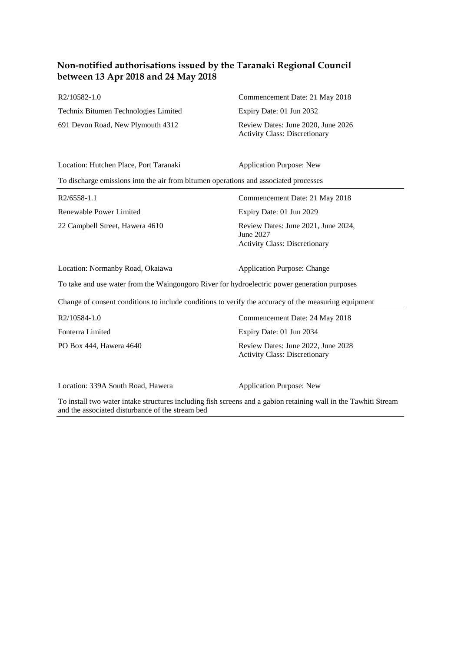| R2/10582-1.0                         | Commencement Date: 21 May 2018                                             |
|--------------------------------------|----------------------------------------------------------------------------|
| Technix Bitumen Technologies Limited | Expiry Date: 01 Jun 2032                                                   |
| 691 Devon Road, New Plymouth 4312    | Review Dates: June 2020, June 2026<br><b>Activity Class: Discretionary</b> |

Location: Hutchen Place, Port Taranaki Application Purpose: New

To discharge emissions into the air from bitumen operations and associated processes

| R2/6558-1.1                     | Commencement Date: 21 May 2018                                                           |
|---------------------------------|------------------------------------------------------------------------------------------|
| Renewable Power Limited         | Expiry Date: 01 Jun 2029                                                                 |
| 22 Campbell Street, Hawera 4610 | Review Dates: June 2021, June 2024,<br>June 2027<br><b>Activity Class: Discretionary</b> |

Location: Normanby Road, Okaiawa Application Purpose: Change

To take and use water from the Waingongoro River for hydroelectric power generation purposes

Change of consent conditions to include conditions to verify the accuracy of the measuring equipment

| R2/10584-1.0            | Commencement Date: 24 May 2018                                             |
|-------------------------|----------------------------------------------------------------------------|
| Fonterra Limited        | Expiry Date: 01 Jun 2034                                                   |
| PO Box 444, Hawera 4640 | Review Dates: June 2022, June 2028<br><b>Activity Class: Discretionary</b> |

Location: 339A South Road, Hawera Application Purpose: New

To install two water intake structures including fish screens and a gabion retaining wall in the Tawhiti Stream and the associated disturbance of the stream bed